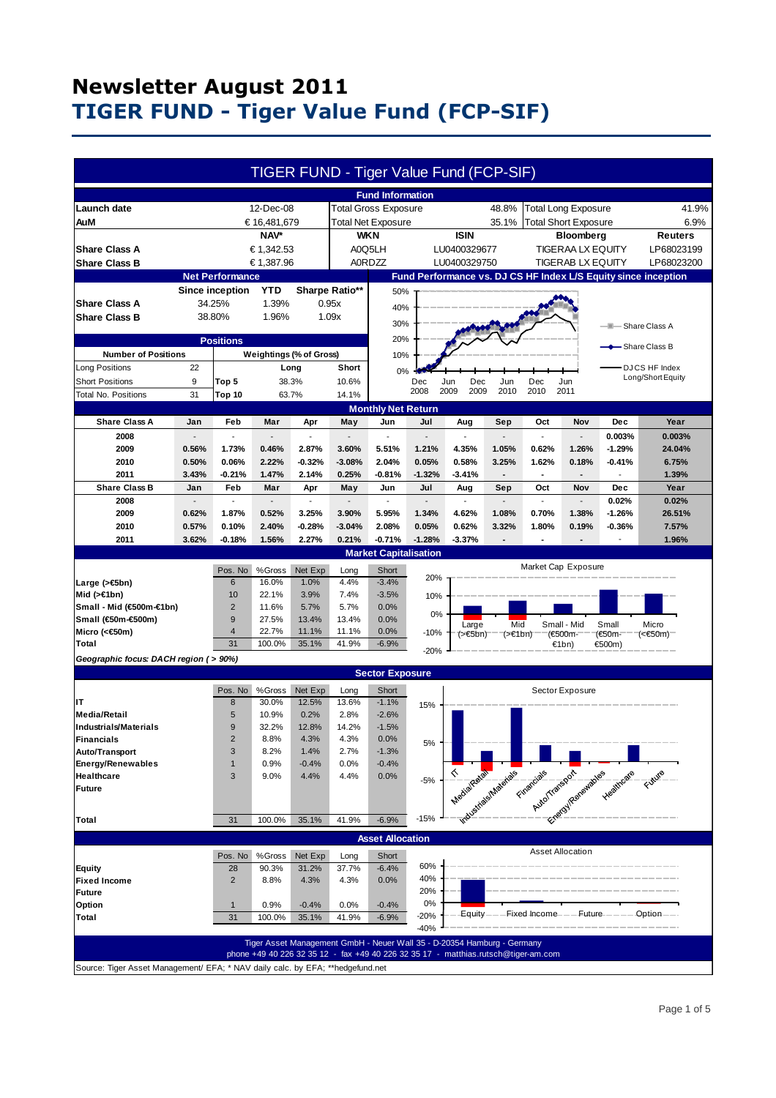| <b>Fund Information</b><br>12-Dec-08<br><b>Total Gross Exposure</b><br><b>Total Long Exposure</b><br>Launch date<br>48.8%<br>41.9%<br>€ 16,481,679<br><b>Total Net Exposure</b><br>35.1%<br><b>Total Short Exposure</b><br>6.9%<br>AuM<br>NAV*<br><b>WKN</b><br><b>ISIN</b><br>Bloomberg<br>Reuters<br><b>Share Class A</b><br>€ 1,342.53<br>A0Q5LH<br>LU0400329677<br><b>TIGERAA LX EQUITY</b><br>LP68023199<br>€ 1,387.96<br><b>A0RDZZ</b><br><b>Share Class B</b><br>LU0400329750<br>TIGERAB LX EQUITY<br>LP68023200<br>Fund Performance vs. DJ CS HF Index L/S Equity since inception<br><b>Net Performance</b><br>YTD<br>Sharpe Ratio**<br>Since inception<br>50%<br><b>Share Class A</b><br>34.25%<br>1.39%<br>0.95x<br>40%<br><b>Share Class B</b><br>38.80%<br>1.96%<br>1.09x<br>30%<br>- Share Class A<br>--<br>20%<br><b>Positions</b><br>- Share Class B<br><b>Number of Positions</b><br>Weightings (% of Gross)<br>10%<br><b>Long Positions</b><br>22<br>DJCS HF Index<br>Short<br>Long<br>0%<br>Long/Short Equity<br><b>Short Positions</b><br>9<br>38.3%<br>10.6%<br>Dec<br>Dec<br>Jun<br>Jun<br>Dec<br>Top 5<br>Jun<br>2008<br>2009<br>2009<br>2010<br>2010<br>2011<br><b>Total No. Positions</b><br>31<br>63.7%<br>14.1%<br>Top 10<br><b>Monthly Net Return</b><br><b>Share Class A</b><br>Year<br>Jan<br>Feb<br>Mar<br>Jun<br>Jul<br>Oct<br>Nov<br>Dec<br>Apr<br>May<br>Aug<br>Sep<br>2008<br>0.003%<br>0.003%<br>ä,<br>$\overline{\phantom{a}}$<br>$\overline{a}$<br>2009<br>0.56%<br>1.73%<br>0.46%<br>2.87%<br>3.60%<br>5.51%<br>1.21%<br>4.35%<br>1.05%<br>0.62%<br>1.26%<br>$-1.29%$<br>24.04%<br>2010<br>0.50%<br>0.06%<br>2.22%<br>$-0.32%$<br>$-3.08%$<br>2.04%<br>0.05%<br>0.58%<br>3.25%<br>1.62%<br>0.18%<br>$-0.41%$<br>6.75%<br>2011<br>1.47%<br>2.14%<br>3.43%<br>$-0.21%$<br>0.25%<br>$-0.81%$<br>$-1.32%$<br>$-3.41%$<br>1.39%<br>$\blacksquare$<br>$\blacksquare$<br>$\overline{\phantom{a}}$<br><b>Share Class B</b><br>Feb<br>Mar<br>Jul<br>Sep<br>Oct<br>Year<br>Jan<br>Apr<br>May<br>Jun<br>Aug<br>Nov<br>Dec<br>2008<br>0.02%<br>0.02%<br>$\blacksquare$<br>$\overline{\phantom{a}}$<br>$\blacksquare$<br>$\overline{\phantom{a}}$<br>$\overline{a}$<br>$\overline{\phantom{a}}$<br>$\blacksquare$<br>$\overline{\phantom{a}}$<br>2009<br>0.62%<br>1.87%<br>0.52%<br>3.25%<br>3.90%<br>5.95%<br>1.34%<br>4.62%<br>1.08%<br>0.70%<br>1.38%<br>$-1.26%$<br>26.51%<br>2.40%<br>$-0.28%$<br>$-3.04%$<br>2.08%<br>0.05%<br>0.62%<br>1.80%<br>2010<br>0.57%<br>0.10%<br>3.32%<br>0.19%<br>$-0.36%$<br>7.57%<br>2011<br>1.56%<br>2.27%<br>0.21%<br>$-0.71%$<br>$-1.28%$<br>$-3.37%$<br>1.96%<br>3.62%<br>$-0.18%$<br><b>Market Capitalisation</b><br>Market Cap Exposure<br>Pos. No<br>%Gross<br>Net Exp<br>Long<br>Short<br>20%<br>Large (>€5bn)<br>16.0%<br>1.0%<br>4.4%<br>$-3.4%$<br>6<br>7.4%<br>Mid $(>\in$ 1bn)<br>10<br>22.1%<br>3.9%<br>$-3.5%$<br>10%<br>Small - Mid (€500m-€1bn)<br>$\overline{2}$<br>5.7%<br>11.6%<br>5.7%<br>0.0%<br>0%<br>Small (€50m-€500m)<br>9<br>27.5%<br>13.4%<br>13.4%<br>0.0%<br>Mid<br>Small - Mid<br>Small<br>Large<br>Micro<br>Micro (<€50m)<br>22.7%<br>4<br>11.1%<br>11.1%<br>0.0%<br>$-10%$<br>$(>\epsilon$ 5bn)<br>(>€1bn)<br>(€500m-<br>(€50m-<br>(<€50m)<br>31<br>100.0%<br>35.1%<br>41.9%<br>$-6.9%$<br>Total<br>€1bn)<br>€500m)<br>$-20%$<br>Geographic focus: DACH region ( > 90%)<br><b>Sector Exposure</b><br>%Gross<br>Net Exp<br>Pos. No<br>Long<br>Short<br>Sector Exposure<br>IT<br>8<br>30.0%<br>12.5%<br>13.6%<br>$-1.1%$<br>15%<br>5<br>0.2%<br>10.9%<br>2.8%<br>$-2.6%$<br><b>Media/Retail</b><br>9<br>32.2%<br>12.8%<br>14.2%<br>$-1.5%$<br><b>Industrials/Materials</b><br>8.8%<br>4.3%<br>4.3%<br>0.0%<br><b>Financials</b><br>$\overline{2}$<br>5%<br>2.7%<br>Auto/Transport<br>3<br>8.2%<br>$-1.3%$<br>1.4%<br>0.9%<br>0.0%<br><b>Energy/Renewables</b><br>$-0.4%$<br>$-0.4%$<br>1<br>Integrate a discharge of the property of the personal vegetations of the control of the control of the control of the control of the control of the control of the control of the control of the control of the control of the<br>9.0%<br>Healthcare<br>3<br>4.4%<br>4.4%<br>0.0%<br>$-5%$<br><b>Future</b><br>$-15%$<br>31<br>35.1%<br>41.9%<br>$-6.9%$<br>100.0%<br>Total<br><b>Asset Allocation</b><br><b>Asset Allocation</b><br>Pos. No<br>%Gross<br>Net Exp<br>Long<br>Short<br>60%<br>28<br>90.3%<br>31.2%<br>37.7%<br>$-6.4%$<br><b>Equity</b><br>40%<br>$\overline{2}$<br>8.8%<br>4.3%<br>4.3%<br>0.0%<br><b>Fixed Income</b><br>20%<br><b>Future</b><br>0%<br>Option<br>0.9%<br>$-0.4%$<br>0.0%<br>$-0.4%$<br>1<br>Equity---Fixed Income---Future-----Option--<br>$-20%$<br>Total<br>31<br>100.0%<br>35.1%<br>41.9%<br>$-6.9%$<br>$-40%$<br>Tiger Asset Management GmbH - Neuer Wall 35 - D-20354 Hamburg - Germany<br>phone +49 40 226 32 35 12 - fax +49 40 226 32 35 17 - matthias.rutsch@tiger-am.com<br>Source: Tiger Asset Management/ EFA; * NAV daily calc. by EFA; **hedgefund.net |  |  |  |  | <b>TIGER FUND - Tiger Value Fund (FCP-SIF)</b> |  |  |  |  |  |  |  |
|----------------------------------------------------------------------------------------------------------------------------------------------------------------------------------------------------------------------------------------------------------------------------------------------------------------------------------------------------------------------------------------------------------------------------------------------------------------------------------------------------------------------------------------------------------------------------------------------------------------------------------------------------------------------------------------------------------------------------------------------------------------------------------------------------------------------------------------------------------------------------------------------------------------------------------------------------------------------------------------------------------------------------------------------------------------------------------------------------------------------------------------------------------------------------------------------------------------------------------------------------------------------------------------------------------------------------------------------------------------------------------------------------------------------------------------------------------------------------------------------------------------------------------------------------------------------------------------------------------------------------------------------------------------------------------------------------------------------------------------------------------------------------------------------------------------------------------------------------------------------------------------------------------------------------------------------------------------------------------------------------------------------------------------------------------------------------------------------------------------------------------------------------------------------------------------------------------------------------------------------------------------------------------------------------------------------------------------------------------------------------------------------------------------------------------------------------------------------------------------------------------------------------------------------------------------------------------------------------------------------------------------------------------------------------------------------------------------------------------------------------------------------------------------------------------------------------------------------------------------------------------------------------------------------------------------------------------------------------------------------------------------------------------------------------------------------------------------------------------------------------------------------------------------------------------------------------------------------------------------------------------------------------------------------------------------------------------------------------------------------------------------------------------------------------------------------------------------------------------------------------------------------------------------------------------------------------------------------------------------------------------------------------------------------------------------------------------------------------------------------------------------------------------------------------------------------------------------------------------------------------------------------------------------------------------------------------------------------------------------------------------------------------------------------------------------------------------------------------------------------------------------------------------------------------------------------------------------------------------------------------------------------------------------------------------------------------------------------------------------------------------------------------------------------------------------------------------------------------------------------------------------------------------------------------------------------------------------------------------------------------------------------------------------------------------------------------------------------------------------------------------------------------------------------------------------------------------------------------------------------------------------------------------------------------------------------------------------------------------------------|--|--|--|--|------------------------------------------------|--|--|--|--|--|--|--|
|                                                                                                                                                                                                                                                                                                                                                                                                                                                                                                                                                                                                                                                                                                                                                                                                                                                                                                                                                                                                                                                                                                                                                                                                                                                                                                                                                                                                                                                                                                                                                                                                                                                                                                                                                                                                                                                                                                                                                                                                                                                                                                                                                                                                                                                                                                                                                                                                                                                                                                                                                                                                                                                                                                                                                                                                                                                                                                                                                                                                                                                                                                                                                                                                                                                                                                                                                                                                                                                                                                                                                                                                                                                                                                                                                                                                                                                                                                                                                                                                                                                                                                                                                                                                                                                                                                                                                                                                                                                                                                                                                                                                                                                                                                                                                                                                                                                                                                                                                                                              |  |  |  |  |                                                |  |  |  |  |  |  |  |
|                                                                                                                                                                                                                                                                                                                                                                                                                                                                                                                                                                                                                                                                                                                                                                                                                                                                                                                                                                                                                                                                                                                                                                                                                                                                                                                                                                                                                                                                                                                                                                                                                                                                                                                                                                                                                                                                                                                                                                                                                                                                                                                                                                                                                                                                                                                                                                                                                                                                                                                                                                                                                                                                                                                                                                                                                                                                                                                                                                                                                                                                                                                                                                                                                                                                                                                                                                                                                                                                                                                                                                                                                                                                                                                                                                                                                                                                                                                                                                                                                                                                                                                                                                                                                                                                                                                                                                                                                                                                                                                                                                                                                                                                                                                                                                                                                                                                                                                                                                                              |  |  |  |  |                                                |  |  |  |  |  |  |  |
|                                                                                                                                                                                                                                                                                                                                                                                                                                                                                                                                                                                                                                                                                                                                                                                                                                                                                                                                                                                                                                                                                                                                                                                                                                                                                                                                                                                                                                                                                                                                                                                                                                                                                                                                                                                                                                                                                                                                                                                                                                                                                                                                                                                                                                                                                                                                                                                                                                                                                                                                                                                                                                                                                                                                                                                                                                                                                                                                                                                                                                                                                                                                                                                                                                                                                                                                                                                                                                                                                                                                                                                                                                                                                                                                                                                                                                                                                                                                                                                                                                                                                                                                                                                                                                                                                                                                                                                                                                                                                                                                                                                                                                                                                                                                                                                                                                                                                                                                                                                              |  |  |  |  |                                                |  |  |  |  |  |  |  |
|                                                                                                                                                                                                                                                                                                                                                                                                                                                                                                                                                                                                                                                                                                                                                                                                                                                                                                                                                                                                                                                                                                                                                                                                                                                                                                                                                                                                                                                                                                                                                                                                                                                                                                                                                                                                                                                                                                                                                                                                                                                                                                                                                                                                                                                                                                                                                                                                                                                                                                                                                                                                                                                                                                                                                                                                                                                                                                                                                                                                                                                                                                                                                                                                                                                                                                                                                                                                                                                                                                                                                                                                                                                                                                                                                                                                                                                                                                                                                                                                                                                                                                                                                                                                                                                                                                                                                                                                                                                                                                                                                                                                                                                                                                                                                                                                                                                                                                                                                                                              |  |  |  |  |                                                |  |  |  |  |  |  |  |
|                                                                                                                                                                                                                                                                                                                                                                                                                                                                                                                                                                                                                                                                                                                                                                                                                                                                                                                                                                                                                                                                                                                                                                                                                                                                                                                                                                                                                                                                                                                                                                                                                                                                                                                                                                                                                                                                                                                                                                                                                                                                                                                                                                                                                                                                                                                                                                                                                                                                                                                                                                                                                                                                                                                                                                                                                                                                                                                                                                                                                                                                                                                                                                                                                                                                                                                                                                                                                                                                                                                                                                                                                                                                                                                                                                                                                                                                                                                                                                                                                                                                                                                                                                                                                                                                                                                                                                                                                                                                                                                                                                                                                                                                                                                                                                                                                                                                                                                                                                                              |  |  |  |  |                                                |  |  |  |  |  |  |  |
|                                                                                                                                                                                                                                                                                                                                                                                                                                                                                                                                                                                                                                                                                                                                                                                                                                                                                                                                                                                                                                                                                                                                                                                                                                                                                                                                                                                                                                                                                                                                                                                                                                                                                                                                                                                                                                                                                                                                                                                                                                                                                                                                                                                                                                                                                                                                                                                                                                                                                                                                                                                                                                                                                                                                                                                                                                                                                                                                                                                                                                                                                                                                                                                                                                                                                                                                                                                                                                                                                                                                                                                                                                                                                                                                                                                                                                                                                                                                                                                                                                                                                                                                                                                                                                                                                                                                                                                                                                                                                                                                                                                                                                                                                                                                                                                                                                                                                                                                                                                              |  |  |  |  |                                                |  |  |  |  |  |  |  |
|                                                                                                                                                                                                                                                                                                                                                                                                                                                                                                                                                                                                                                                                                                                                                                                                                                                                                                                                                                                                                                                                                                                                                                                                                                                                                                                                                                                                                                                                                                                                                                                                                                                                                                                                                                                                                                                                                                                                                                                                                                                                                                                                                                                                                                                                                                                                                                                                                                                                                                                                                                                                                                                                                                                                                                                                                                                                                                                                                                                                                                                                                                                                                                                                                                                                                                                                                                                                                                                                                                                                                                                                                                                                                                                                                                                                                                                                                                                                                                                                                                                                                                                                                                                                                                                                                                                                                                                                                                                                                                                                                                                                                                                                                                                                                                                                                                                                                                                                                                                              |  |  |  |  |                                                |  |  |  |  |  |  |  |
|                                                                                                                                                                                                                                                                                                                                                                                                                                                                                                                                                                                                                                                                                                                                                                                                                                                                                                                                                                                                                                                                                                                                                                                                                                                                                                                                                                                                                                                                                                                                                                                                                                                                                                                                                                                                                                                                                                                                                                                                                                                                                                                                                                                                                                                                                                                                                                                                                                                                                                                                                                                                                                                                                                                                                                                                                                                                                                                                                                                                                                                                                                                                                                                                                                                                                                                                                                                                                                                                                                                                                                                                                                                                                                                                                                                                                                                                                                                                                                                                                                                                                                                                                                                                                                                                                                                                                                                                                                                                                                                                                                                                                                                                                                                                                                                                                                                                                                                                                                                              |  |  |  |  |                                                |  |  |  |  |  |  |  |
|                                                                                                                                                                                                                                                                                                                                                                                                                                                                                                                                                                                                                                                                                                                                                                                                                                                                                                                                                                                                                                                                                                                                                                                                                                                                                                                                                                                                                                                                                                                                                                                                                                                                                                                                                                                                                                                                                                                                                                                                                                                                                                                                                                                                                                                                                                                                                                                                                                                                                                                                                                                                                                                                                                                                                                                                                                                                                                                                                                                                                                                                                                                                                                                                                                                                                                                                                                                                                                                                                                                                                                                                                                                                                                                                                                                                                                                                                                                                                                                                                                                                                                                                                                                                                                                                                                                                                                                                                                                                                                                                                                                                                                                                                                                                                                                                                                                                                                                                                                                              |  |  |  |  |                                                |  |  |  |  |  |  |  |
|                                                                                                                                                                                                                                                                                                                                                                                                                                                                                                                                                                                                                                                                                                                                                                                                                                                                                                                                                                                                                                                                                                                                                                                                                                                                                                                                                                                                                                                                                                                                                                                                                                                                                                                                                                                                                                                                                                                                                                                                                                                                                                                                                                                                                                                                                                                                                                                                                                                                                                                                                                                                                                                                                                                                                                                                                                                                                                                                                                                                                                                                                                                                                                                                                                                                                                                                                                                                                                                                                                                                                                                                                                                                                                                                                                                                                                                                                                                                                                                                                                                                                                                                                                                                                                                                                                                                                                                                                                                                                                                                                                                                                                                                                                                                                                                                                                                                                                                                                                                              |  |  |  |  |                                                |  |  |  |  |  |  |  |
|                                                                                                                                                                                                                                                                                                                                                                                                                                                                                                                                                                                                                                                                                                                                                                                                                                                                                                                                                                                                                                                                                                                                                                                                                                                                                                                                                                                                                                                                                                                                                                                                                                                                                                                                                                                                                                                                                                                                                                                                                                                                                                                                                                                                                                                                                                                                                                                                                                                                                                                                                                                                                                                                                                                                                                                                                                                                                                                                                                                                                                                                                                                                                                                                                                                                                                                                                                                                                                                                                                                                                                                                                                                                                                                                                                                                                                                                                                                                                                                                                                                                                                                                                                                                                                                                                                                                                                                                                                                                                                                                                                                                                                                                                                                                                                                                                                                                                                                                                                                              |  |  |  |  |                                                |  |  |  |  |  |  |  |
|                                                                                                                                                                                                                                                                                                                                                                                                                                                                                                                                                                                                                                                                                                                                                                                                                                                                                                                                                                                                                                                                                                                                                                                                                                                                                                                                                                                                                                                                                                                                                                                                                                                                                                                                                                                                                                                                                                                                                                                                                                                                                                                                                                                                                                                                                                                                                                                                                                                                                                                                                                                                                                                                                                                                                                                                                                                                                                                                                                                                                                                                                                                                                                                                                                                                                                                                                                                                                                                                                                                                                                                                                                                                                                                                                                                                                                                                                                                                                                                                                                                                                                                                                                                                                                                                                                                                                                                                                                                                                                                                                                                                                                                                                                                                                                                                                                                                                                                                                                                              |  |  |  |  |                                                |  |  |  |  |  |  |  |
|                                                                                                                                                                                                                                                                                                                                                                                                                                                                                                                                                                                                                                                                                                                                                                                                                                                                                                                                                                                                                                                                                                                                                                                                                                                                                                                                                                                                                                                                                                                                                                                                                                                                                                                                                                                                                                                                                                                                                                                                                                                                                                                                                                                                                                                                                                                                                                                                                                                                                                                                                                                                                                                                                                                                                                                                                                                                                                                                                                                                                                                                                                                                                                                                                                                                                                                                                                                                                                                                                                                                                                                                                                                                                                                                                                                                                                                                                                                                                                                                                                                                                                                                                                                                                                                                                                                                                                                                                                                                                                                                                                                                                                                                                                                                                                                                                                                                                                                                                                                              |  |  |  |  |                                                |  |  |  |  |  |  |  |
|                                                                                                                                                                                                                                                                                                                                                                                                                                                                                                                                                                                                                                                                                                                                                                                                                                                                                                                                                                                                                                                                                                                                                                                                                                                                                                                                                                                                                                                                                                                                                                                                                                                                                                                                                                                                                                                                                                                                                                                                                                                                                                                                                                                                                                                                                                                                                                                                                                                                                                                                                                                                                                                                                                                                                                                                                                                                                                                                                                                                                                                                                                                                                                                                                                                                                                                                                                                                                                                                                                                                                                                                                                                                                                                                                                                                                                                                                                                                                                                                                                                                                                                                                                                                                                                                                                                                                                                                                                                                                                                                                                                                                                                                                                                                                                                                                                                                                                                                                                                              |  |  |  |  |                                                |  |  |  |  |  |  |  |
|                                                                                                                                                                                                                                                                                                                                                                                                                                                                                                                                                                                                                                                                                                                                                                                                                                                                                                                                                                                                                                                                                                                                                                                                                                                                                                                                                                                                                                                                                                                                                                                                                                                                                                                                                                                                                                                                                                                                                                                                                                                                                                                                                                                                                                                                                                                                                                                                                                                                                                                                                                                                                                                                                                                                                                                                                                                                                                                                                                                                                                                                                                                                                                                                                                                                                                                                                                                                                                                                                                                                                                                                                                                                                                                                                                                                                                                                                                                                                                                                                                                                                                                                                                                                                                                                                                                                                                                                                                                                                                                                                                                                                                                                                                                                                                                                                                                                                                                                                                                              |  |  |  |  |                                                |  |  |  |  |  |  |  |
|                                                                                                                                                                                                                                                                                                                                                                                                                                                                                                                                                                                                                                                                                                                                                                                                                                                                                                                                                                                                                                                                                                                                                                                                                                                                                                                                                                                                                                                                                                                                                                                                                                                                                                                                                                                                                                                                                                                                                                                                                                                                                                                                                                                                                                                                                                                                                                                                                                                                                                                                                                                                                                                                                                                                                                                                                                                                                                                                                                                                                                                                                                                                                                                                                                                                                                                                                                                                                                                                                                                                                                                                                                                                                                                                                                                                                                                                                                                                                                                                                                                                                                                                                                                                                                                                                                                                                                                                                                                                                                                                                                                                                                                                                                                                                                                                                                                                                                                                                                                              |  |  |  |  |                                                |  |  |  |  |  |  |  |
|                                                                                                                                                                                                                                                                                                                                                                                                                                                                                                                                                                                                                                                                                                                                                                                                                                                                                                                                                                                                                                                                                                                                                                                                                                                                                                                                                                                                                                                                                                                                                                                                                                                                                                                                                                                                                                                                                                                                                                                                                                                                                                                                                                                                                                                                                                                                                                                                                                                                                                                                                                                                                                                                                                                                                                                                                                                                                                                                                                                                                                                                                                                                                                                                                                                                                                                                                                                                                                                                                                                                                                                                                                                                                                                                                                                                                                                                                                                                                                                                                                                                                                                                                                                                                                                                                                                                                                                                                                                                                                                                                                                                                                                                                                                                                                                                                                                                                                                                                                                              |  |  |  |  |                                                |  |  |  |  |  |  |  |
|                                                                                                                                                                                                                                                                                                                                                                                                                                                                                                                                                                                                                                                                                                                                                                                                                                                                                                                                                                                                                                                                                                                                                                                                                                                                                                                                                                                                                                                                                                                                                                                                                                                                                                                                                                                                                                                                                                                                                                                                                                                                                                                                                                                                                                                                                                                                                                                                                                                                                                                                                                                                                                                                                                                                                                                                                                                                                                                                                                                                                                                                                                                                                                                                                                                                                                                                                                                                                                                                                                                                                                                                                                                                                                                                                                                                                                                                                                                                                                                                                                                                                                                                                                                                                                                                                                                                                                                                                                                                                                                                                                                                                                                                                                                                                                                                                                                                                                                                                                                              |  |  |  |  |                                                |  |  |  |  |  |  |  |
|                                                                                                                                                                                                                                                                                                                                                                                                                                                                                                                                                                                                                                                                                                                                                                                                                                                                                                                                                                                                                                                                                                                                                                                                                                                                                                                                                                                                                                                                                                                                                                                                                                                                                                                                                                                                                                                                                                                                                                                                                                                                                                                                                                                                                                                                                                                                                                                                                                                                                                                                                                                                                                                                                                                                                                                                                                                                                                                                                                                                                                                                                                                                                                                                                                                                                                                                                                                                                                                                                                                                                                                                                                                                                                                                                                                                                                                                                                                                                                                                                                                                                                                                                                                                                                                                                                                                                                                                                                                                                                                                                                                                                                                                                                                                                                                                                                                                                                                                                                                              |  |  |  |  |                                                |  |  |  |  |  |  |  |
|                                                                                                                                                                                                                                                                                                                                                                                                                                                                                                                                                                                                                                                                                                                                                                                                                                                                                                                                                                                                                                                                                                                                                                                                                                                                                                                                                                                                                                                                                                                                                                                                                                                                                                                                                                                                                                                                                                                                                                                                                                                                                                                                                                                                                                                                                                                                                                                                                                                                                                                                                                                                                                                                                                                                                                                                                                                                                                                                                                                                                                                                                                                                                                                                                                                                                                                                                                                                                                                                                                                                                                                                                                                                                                                                                                                                                                                                                                                                                                                                                                                                                                                                                                                                                                                                                                                                                                                                                                                                                                                                                                                                                                                                                                                                                                                                                                                                                                                                                                                              |  |  |  |  |                                                |  |  |  |  |  |  |  |
|                                                                                                                                                                                                                                                                                                                                                                                                                                                                                                                                                                                                                                                                                                                                                                                                                                                                                                                                                                                                                                                                                                                                                                                                                                                                                                                                                                                                                                                                                                                                                                                                                                                                                                                                                                                                                                                                                                                                                                                                                                                                                                                                                                                                                                                                                                                                                                                                                                                                                                                                                                                                                                                                                                                                                                                                                                                                                                                                                                                                                                                                                                                                                                                                                                                                                                                                                                                                                                                                                                                                                                                                                                                                                                                                                                                                                                                                                                                                                                                                                                                                                                                                                                                                                                                                                                                                                                                                                                                                                                                                                                                                                                                                                                                                                                                                                                                                                                                                                                                              |  |  |  |  |                                                |  |  |  |  |  |  |  |
|                                                                                                                                                                                                                                                                                                                                                                                                                                                                                                                                                                                                                                                                                                                                                                                                                                                                                                                                                                                                                                                                                                                                                                                                                                                                                                                                                                                                                                                                                                                                                                                                                                                                                                                                                                                                                                                                                                                                                                                                                                                                                                                                                                                                                                                                                                                                                                                                                                                                                                                                                                                                                                                                                                                                                                                                                                                                                                                                                                                                                                                                                                                                                                                                                                                                                                                                                                                                                                                                                                                                                                                                                                                                                                                                                                                                                                                                                                                                                                                                                                                                                                                                                                                                                                                                                                                                                                                                                                                                                                                                                                                                                                                                                                                                                                                                                                                                                                                                                                                              |  |  |  |  |                                                |  |  |  |  |  |  |  |
|                                                                                                                                                                                                                                                                                                                                                                                                                                                                                                                                                                                                                                                                                                                                                                                                                                                                                                                                                                                                                                                                                                                                                                                                                                                                                                                                                                                                                                                                                                                                                                                                                                                                                                                                                                                                                                                                                                                                                                                                                                                                                                                                                                                                                                                                                                                                                                                                                                                                                                                                                                                                                                                                                                                                                                                                                                                                                                                                                                                                                                                                                                                                                                                                                                                                                                                                                                                                                                                                                                                                                                                                                                                                                                                                                                                                                                                                                                                                                                                                                                                                                                                                                                                                                                                                                                                                                                                                                                                                                                                                                                                                                                                                                                                                                                                                                                                                                                                                                                                              |  |  |  |  |                                                |  |  |  |  |  |  |  |
|                                                                                                                                                                                                                                                                                                                                                                                                                                                                                                                                                                                                                                                                                                                                                                                                                                                                                                                                                                                                                                                                                                                                                                                                                                                                                                                                                                                                                                                                                                                                                                                                                                                                                                                                                                                                                                                                                                                                                                                                                                                                                                                                                                                                                                                                                                                                                                                                                                                                                                                                                                                                                                                                                                                                                                                                                                                                                                                                                                                                                                                                                                                                                                                                                                                                                                                                                                                                                                                                                                                                                                                                                                                                                                                                                                                                                                                                                                                                                                                                                                                                                                                                                                                                                                                                                                                                                                                                                                                                                                                                                                                                                                                                                                                                                                                                                                                                                                                                                                                              |  |  |  |  |                                                |  |  |  |  |  |  |  |
|                                                                                                                                                                                                                                                                                                                                                                                                                                                                                                                                                                                                                                                                                                                                                                                                                                                                                                                                                                                                                                                                                                                                                                                                                                                                                                                                                                                                                                                                                                                                                                                                                                                                                                                                                                                                                                                                                                                                                                                                                                                                                                                                                                                                                                                                                                                                                                                                                                                                                                                                                                                                                                                                                                                                                                                                                                                                                                                                                                                                                                                                                                                                                                                                                                                                                                                                                                                                                                                                                                                                                                                                                                                                                                                                                                                                                                                                                                                                                                                                                                                                                                                                                                                                                                                                                                                                                                                                                                                                                                                                                                                                                                                                                                                                                                                                                                                                                                                                                                                              |  |  |  |  |                                                |  |  |  |  |  |  |  |
|                                                                                                                                                                                                                                                                                                                                                                                                                                                                                                                                                                                                                                                                                                                                                                                                                                                                                                                                                                                                                                                                                                                                                                                                                                                                                                                                                                                                                                                                                                                                                                                                                                                                                                                                                                                                                                                                                                                                                                                                                                                                                                                                                                                                                                                                                                                                                                                                                                                                                                                                                                                                                                                                                                                                                                                                                                                                                                                                                                                                                                                                                                                                                                                                                                                                                                                                                                                                                                                                                                                                                                                                                                                                                                                                                                                                                                                                                                                                                                                                                                                                                                                                                                                                                                                                                                                                                                                                                                                                                                                                                                                                                                                                                                                                                                                                                                                                                                                                                                                              |  |  |  |  |                                                |  |  |  |  |  |  |  |
|                                                                                                                                                                                                                                                                                                                                                                                                                                                                                                                                                                                                                                                                                                                                                                                                                                                                                                                                                                                                                                                                                                                                                                                                                                                                                                                                                                                                                                                                                                                                                                                                                                                                                                                                                                                                                                                                                                                                                                                                                                                                                                                                                                                                                                                                                                                                                                                                                                                                                                                                                                                                                                                                                                                                                                                                                                                                                                                                                                                                                                                                                                                                                                                                                                                                                                                                                                                                                                                                                                                                                                                                                                                                                                                                                                                                                                                                                                                                                                                                                                                                                                                                                                                                                                                                                                                                                                                                                                                                                                                                                                                                                                                                                                                                                                                                                                                                                                                                                                                              |  |  |  |  |                                                |  |  |  |  |  |  |  |
|                                                                                                                                                                                                                                                                                                                                                                                                                                                                                                                                                                                                                                                                                                                                                                                                                                                                                                                                                                                                                                                                                                                                                                                                                                                                                                                                                                                                                                                                                                                                                                                                                                                                                                                                                                                                                                                                                                                                                                                                                                                                                                                                                                                                                                                                                                                                                                                                                                                                                                                                                                                                                                                                                                                                                                                                                                                                                                                                                                                                                                                                                                                                                                                                                                                                                                                                                                                                                                                                                                                                                                                                                                                                                                                                                                                                                                                                                                                                                                                                                                                                                                                                                                                                                                                                                                                                                                                                                                                                                                                                                                                                                                                                                                                                                                                                                                                                                                                                                                                              |  |  |  |  |                                                |  |  |  |  |  |  |  |
|                                                                                                                                                                                                                                                                                                                                                                                                                                                                                                                                                                                                                                                                                                                                                                                                                                                                                                                                                                                                                                                                                                                                                                                                                                                                                                                                                                                                                                                                                                                                                                                                                                                                                                                                                                                                                                                                                                                                                                                                                                                                                                                                                                                                                                                                                                                                                                                                                                                                                                                                                                                                                                                                                                                                                                                                                                                                                                                                                                                                                                                                                                                                                                                                                                                                                                                                                                                                                                                                                                                                                                                                                                                                                                                                                                                                                                                                                                                                                                                                                                                                                                                                                                                                                                                                                                                                                                                                                                                                                                                                                                                                                                                                                                                                                                                                                                                                                                                                                                                              |  |  |  |  |                                                |  |  |  |  |  |  |  |
|                                                                                                                                                                                                                                                                                                                                                                                                                                                                                                                                                                                                                                                                                                                                                                                                                                                                                                                                                                                                                                                                                                                                                                                                                                                                                                                                                                                                                                                                                                                                                                                                                                                                                                                                                                                                                                                                                                                                                                                                                                                                                                                                                                                                                                                                                                                                                                                                                                                                                                                                                                                                                                                                                                                                                                                                                                                                                                                                                                                                                                                                                                                                                                                                                                                                                                                                                                                                                                                                                                                                                                                                                                                                                                                                                                                                                                                                                                                                                                                                                                                                                                                                                                                                                                                                                                                                                                                                                                                                                                                                                                                                                                                                                                                                                                                                                                                                                                                                                                                              |  |  |  |  |                                                |  |  |  |  |  |  |  |
|                                                                                                                                                                                                                                                                                                                                                                                                                                                                                                                                                                                                                                                                                                                                                                                                                                                                                                                                                                                                                                                                                                                                                                                                                                                                                                                                                                                                                                                                                                                                                                                                                                                                                                                                                                                                                                                                                                                                                                                                                                                                                                                                                                                                                                                                                                                                                                                                                                                                                                                                                                                                                                                                                                                                                                                                                                                                                                                                                                                                                                                                                                                                                                                                                                                                                                                                                                                                                                                                                                                                                                                                                                                                                                                                                                                                                                                                                                                                                                                                                                                                                                                                                                                                                                                                                                                                                                                                                                                                                                                                                                                                                                                                                                                                                                                                                                                                                                                                                                                              |  |  |  |  |                                                |  |  |  |  |  |  |  |
|                                                                                                                                                                                                                                                                                                                                                                                                                                                                                                                                                                                                                                                                                                                                                                                                                                                                                                                                                                                                                                                                                                                                                                                                                                                                                                                                                                                                                                                                                                                                                                                                                                                                                                                                                                                                                                                                                                                                                                                                                                                                                                                                                                                                                                                                                                                                                                                                                                                                                                                                                                                                                                                                                                                                                                                                                                                                                                                                                                                                                                                                                                                                                                                                                                                                                                                                                                                                                                                                                                                                                                                                                                                                                                                                                                                                                                                                                                                                                                                                                                                                                                                                                                                                                                                                                                                                                                                                                                                                                                                                                                                                                                                                                                                                                                                                                                                                                                                                                                                              |  |  |  |  |                                                |  |  |  |  |  |  |  |
|                                                                                                                                                                                                                                                                                                                                                                                                                                                                                                                                                                                                                                                                                                                                                                                                                                                                                                                                                                                                                                                                                                                                                                                                                                                                                                                                                                                                                                                                                                                                                                                                                                                                                                                                                                                                                                                                                                                                                                                                                                                                                                                                                                                                                                                                                                                                                                                                                                                                                                                                                                                                                                                                                                                                                                                                                                                                                                                                                                                                                                                                                                                                                                                                                                                                                                                                                                                                                                                                                                                                                                                                                                                                                                                                                                                                                                                                                                                                                                                                                                                                                                                                                                                                                                                                                                                                                                                                                                                                                                                                                                                                                                                                                                                                                                                                                                                                                                                                                                                              |  |  |  |  |                                                |  |  |  |  |  |  |  |
|                                                                                                                                                                                                                                                                                                                                                                                                                                                                                                                                                                                                                                                                                                                                                                                                                                                                                                                                                                                                                                                                                                                                                                                                                                                                                                                                                                                                                                                                                                                                                                                                                                                                                                                                                                                                                                                                                                                                                                                                                                                                                                                                                                                                                                                                                                                                                                                                                                                                                                                                                                                                                                                                                                                                                                                                                                                                                                                                                                                                                                                                                                                                                                                                                                                                                                                                                                                                                                                                                                                                                                                                                                                                                                                                                                                                                                                                                                                                                                                                                                                                                                                                                                                                                                                                                                                                                                                                                                                                                                                                                                                                                                                                                                                                                                                                                                                                                                                                                                                              |  |  |  |  |                                                |  |  |  |  |  |  |  |
|                                                                                                                                                                                                                                                                                                                                                                                                                                                                                                                                                                                                                                                                                                                                                                                                                                                                                                                                                                                                                                                                                                                                                                                                                                                                                                                                                                                                                                                                                                                                                                                                                                                                                                                                                                                                                                                                                                                                                                                                                                                                                                                                                                                                                                                                                                                                                                                                                                                                                                                                                                                                                                                                                                                                                                                                                                                                                                                                                                                                                                                                                                                                                                                                                                                                                                                                                                                                                                                                                                                                                                                                                                                                                                                                                                                                                                                                                                                                                                                                                                                                                                                                                                                                                                                                                                                                                                                                                                                                                                                                                                                                                                                                                                                                                                                                                                                                                                                                                                                              |  |  |  |  |                                                |  |  |  |  |  |  |  |
|                                                                                                                                                                                                                                                                                                                                                                                                                                                                                                                                                                                                                                                                                                                                                                                                                                                                                                                                                                                                                                                                                                                                                                                                                                                                                                                                                                                                                                                                                                                                                                                                                                                                                                                                                                                                                                                                                                                                                                                                                                                                                                                                                                                                                                                                                                                                                                                                                                                                                                                                                                                                                                                                                                                                                                                                                                                                                                                                                                                                                                                                                                                                                                                                                                                                                                                                                                                                                                                                                                                                                                                                                                                                                                                                                                                                                                                                                                                                                                                                                                                                                                                                                                                                                                                                                                                                                                                                                                                                                                                                                                                                                                                                                                                                                                                                                                                                                                                                                                                              |  |  |  |  |                                                |  |  |  |  |  |  |  |
|                                                                                                                                                                                                                                                                                                                                                                                                                                                                                                                                                                                                                                                                                                                                                                                                                                                                                                                                                                                                                                                                                                                                                                                                                                                                                                                                                                                                                                                                                                                                                                                                                                                                                                                                                                                                                                                                                                                                                                                                                                                                                                                                                                                                                                                                                                                                                                                                                                                                                                                                                                                                                                                                                                                                                                                                                                                                                                                                                                                                                                                                                                                                                                                                                                                                                                                                                                                                                                                                                                                                                                                                                                                                                                                                                                                                                                                                                                                                                                                                                                                                                                                                                                                                                                                                                                                                                                                                                                                                                                                                                                                                                                                                                                                                                                                                                                                                                                                                                                                              |  |  |  |  |                                                |  |  |  |  |  |  |  |
|                                                                                                                                                                                                                                                                                                                                                                                                                                                                                                                                                                                                                                                                                                                                                                                                                                                                                                                                                                                                                                                                                                                                                                                                                                                                                                                                                                                                                                                                                                                                                                                                                                                                                                                                                                                                                                                                                                                                                                                                                                                                                                                                                                                                                                                                                                                                                                                                                                                                                                                                                                                                                                                                                                                                                                                                                                                                                                                                                                                                                                                                                                                                                                                                                                                                                                                                                                                                                                                                                                                                                                                                                                                                                                                                                                                                                                                                                                                                                                                                                                                                                                                                                                                                                                                                                                                                                                                                                                                                                                                                                                                                                                                                                                                                                                                                                                                                                                                                                                                              |  |  |  |  |                                                |  |  |  |  |  |  |  |
|                                                                                                                                                                                                                                                                                                                                                                                                                                                                                                                                                                                                                                                                                                                                                                                                                                                                                                                                                                                                                                                                                                                                                                                                                                                                                                                                                                                                                                                                                                                                                                                                                                                                                                                                                                                                                                                                                                                                                                                                                                                                                                                                                                                                                                                                                                                                                                                                                                                                                                                                                                                                                                                                                                                                                                                                                                                                                                                                                                                                                                                                                                                                                                                                                                                                                                                                                                                                                                                                                                                                                                                                                                                                                                                                                                                                                                                                                                                                                                                                                                                                                                                                                                                                                                                                                                                                                                                                                                                                                                                                                                                                                                                                                                                                                                                                                                                                                                                                                                                              |  |  |  |  |                                                |  |  |  |  |  |  |  |
|                                                                                                                                                                                                                                                                                                                                                                                                                                                                                                                                                                                                                                                                                                                                                                                                                                                                                                                                                                                                                                                                                                                                                                                                                                                                                                                                                                                                                                                                                                                                                                                                                                                                                                                                                                                                                                                                                                                                                                                                                                                                                                                                                                                                                                                                                                                                                                                                                                                                                                                                                                                                                                                                                                                                                                                                                                                                                                                                                                                                                                                                                                                                                                                                                                                                                                                                                                                                                                                                                                                                                                                                                                                                                                                                                                                                                                                                                                                                                                                                                                                                                                                                                                                                                                                                                                                                                                                                                                                                                                                                                                                                                                                                                                                                                                                                                                                                                                                                                                                              |  |  |  |  |                                                |  |  |  |  |  |  |  |
|                                                                                                                                                                                                                                                                                                                                                                                                                                                                                                                                                                                                                                                                                                                                                                                                                                                                                                                                                                                                                                                                                                                                                                                                                                                                                                                                                                                                                                                                                                                                                                                                                                                                                                                                                                                                                                                                                                                                                                                                                                                                                                                                                                                                                                                                                                                                                                                                                                                                                                                                                                                                                                                                                                                                                                                                                                                                                                                                                                                                                                                                                                                                                                                                                                                                                                                                                                                                                                                                                                                                                                                                                                                                                                                                                                                                                                                                                                                                                                                                                                                                                                                                                                                                                                                                                                                                                                                                                                                                                                                                                                                                                                                                                                                                                                                                                                                                                                                                                                                              |  |  |  |  |                                                |  |  |  |  |  |  |  |
|                                                                                                                                                                                                                                                                                                                                                                                                                                                                                                                                                                                                                                                                                                                                                                                                                                                                                                                                                                                                                                                                                                                                                                                                                                                                                                                                                                                                                                                                                                                                                                                                                                                                                                                                                                                                                                                                                                                                                                                                                                                                                                                                                                                                                                                                                                                                                                                                                                                                                                                                                                                                                                                                                                                                                                                                                                                                                                                                                                                                                                                                                                                                                                                                                                                                                                                                                                                                                                                                                                                                                                                                                                                                                                                                                                                                                                                                                                                                                                                                                                                                                                                                                                                                                                                                                                                                                                                                                                                                                                                                                                                                                                                                                                                                                                                                                                                                                                                                                                                              |  |  |  |  |                                                |  |  |  |  |  |  |  |
|                                                                                                                                                                                                                                                                                                                                                                                                                                                                                                                                                                                                                                                                                                                                                                                                                                                                                                                                                                                                                                                                                                                                                                                                                                                                                                                                                                                                                                                                                                                                                                                                                                                                                                                                                                                                                                                                                                                                                                                                                                                                                                                                                                                                                                                                                                                                                                                                                                                                                                                                                                                                                                                                                                                                                                                                                                                                                                                                                                                                                                                                                                                                                                                                                                                                                                                                                                                                                                                                                                                                                                                                                                                                                                                                                                                                                                                                                                                                                                                                                                                                                                                                                                                                                                                                                                                                                                                                                                                                                                                                                                                                                                                                                                                                                                                                                                                                                                                                                                                              |  |  |  |  |                                                |  |  |  |  |  |  |  |
|                                                                                                                                                                                                                                                                                                                                                                                                                                                                                                                                                                                                                                                                                                                                                                                                                                                                                                                                                                                                                                                                                                                                                                                                                                                                                                                                                                                                                                                                                                                                                                                                                                                                                                                                                                                                                                                                                                                                                                                                                                                                                                                                                                                                                                                                                                                                                                                                                                                                                                                                                                                                                                                                                                                                                                                                                                                                                                                                                                                                                                                                                                                                                                                                                                                                                                                                                                                                                                                                                                                                                                                                                                                                                                                                                                                                                                                                                                                                                                                                                                                                                                                                                                                                                                                                                                                                                                                                                                                                                                                                                                                                                                                                                                                                                                                                                                                                                                                                                                                              |  |  |  |  |                                                |  |  |  |  |  |  |  |
|                                                                                                                                                                                                                                                                                                                                                                                                                                                                                                                                                                                                                                                                                                                                                                                                                                                                                                                                                                                                                                                                                                                                                                                                                                                                                                                                                                                                                                                                                                                                                                                                                                                                                                                                                                                                                                                                                                                                                                                                                                                                                                                                                                                                                                                                                                                                                                                                                                                                                                                                                                                                                                                                                                                                                                                                                                                                                                                                                                                                                                                                                                                                                                                                                                                                                                                                                                                                                                                                                                                                                                                                                                                                                                                                                                                                                                                                                                                                                                                                                                                                                                                                                                                                                                                                                                                                                                                                                                                                                                                                                                                                                                                                                                                                                                                                                                                                                                                                                                                              |  |  |  |  |                                                |  |  |  |  |  |  |  |
|                                                                                                                                                                                                                                                                                                                                                                                                                                                                                                                                                                                                                                                                                                                                                                                                                                                                                                                                                                                                                                                                                                                                                                                                                                                                                                                                                                                                                                                                                                                                                                                                                                                                                                                                                                                                                                                                                                                                                                                                                                                                                                                                                                                                                                                                                                                                                                                                                                                                                                                                                                                                                                                                                                                                                                                                                                                                                                                                                                                                                                                                                                                                                                                                                                                                                                                                                                                                                                                                                                                                                                                                                                                                                                                                                                                                                                                                                                                                                                                                                                                                                                                                                                                                                                                                                                                                                                                                                                                                                                                                                                                                                                                                                                                                                                                                                                                                                                                                                                                              |  |  |  |  |                                                |  |  |  |  |  |  |  |
|                                                                                                                                                                                                                                                                                                                                                                                                                                                                                                                                                                                                                                                                                                                                                                                                                                                                                                                                                                                                                                                                                                                                                                                                                                                                                                                                                                                                                                                                                                                                                                                                                                                                                                                                                                                                                                                                                                                                                                                                                                                                                                                                                                                                                                                                                                                                                                                                                                                                                                                                                                                                                                                                                                                                                                                                                                                                                                                                                                                                                                                                                                                                                                                                                                                                                                                                                                                                                                                                                                                                                                                                                                                                                                                                                                                                                                                                                                                                                                                                                                                                                                                                                                                                                                                                                                                                                                                                                                                                                                                                                                                                                                                                                                                                                                                                                                                                                                                                                                                              |  |  |  |  |                                                |  |  |  |  |  |  |  |
|                                                                                                                                                                                                                                                                                                                                                                                                                                                                                                                                                                                                                                                                                                                                                                                                                                                                                                                                                                                                                                                                                                                                                                                                                                                                                                                                                                                                                                                                                                                                                                                                                                                                                                                                                                                                                                                                                                                                                                                                                                                                                                                                                                                                                                                                                                                                                                                                                                                                                                                                                                                                                                                                                                                                                                                                                                                                                                                                                                                                                                                                                                                                                                                                                                                                                                                                                                                                                                                                                                                                                                                                                                                                                                                                                                                                                                                                                                                                                                                                                                                                                                                                                                                                                                                                                                                                                                                                                                                                                                                                                                                                                                                                                                                                                                                                                                                                                                                                                                                              |  |  |  |  |                                                |  |  |  |  |  |  |  |
|                                                                                                                                                                                                                                                                                                                                                                                                                                                                                                                                                                                                                                                                                                                                                                                                                                                                                                                                                                                                                                                                                                                                                                                                                                                                                                                                                                                                                                                                                                                                                                                                                                                                                                                                                                                                                                                                                                                                                                                                                                                                                                                                                                                                                                                                                                                                                                                                                                                                                                                                                                                                                                                                                                                                                                                                                                                                                                                                                                                                                                                                                                                                                                                                                                                                                                                                                                                                                                                                                                                                                                                                                                                                                                                                                                                                                                                                                                                                                                                                                                                                                                                                                                                                                                                                                                                                                                                                                                                                                                                                                                                                                                                                                                                                                                                                                                                                                                                                                                                              |  |  |  |  |                                                |  |  |  |  |  |  |  |
|                                                                                                                                                                                                                                                                                                                                                                                                                                                                                                                                                                                                                                                                                                                                                                                                                                                                                                                                                                                                                                                                                                                                                                                                                                                                                                                                                                                                                                                                                                                                                                                                                                                                                                                                                                                                                                                                                                                                                                                                                                                                                                                                                                                                                                                                                                                                                                                                                                                                                                                                                                                                                                                                                                                                                                                                                                                                                                                                                                                                                                                                                                                                                                                                                                                                                                                                                                                                                                                                                                                                                                                                                                                                                                                                                                                                                                                                                                                                                                                                                                                                                                                                                                                                                                                                                                                                                                                                                                                                                                                                                                                                                                                                                                                                                                                                                                                                                                                                                                                              |  |  |  |  |                                                |  |  |  |  |  |  |  |
|                                                                                                                                                                                                                                                                                                                                                                                                                                                                                                                                                                                                                                                                                                                                                                                                                                                                                                                                                                                                                                                                                                                                                                                                                                                                                                                                                                                                                                                                                                                                                                                                                                                                                                                                                                                                                                                                                                                                                                                                                                                                                                                                                                                                                                                                                                                                                                                                                                                                                                                                                                                                                                                                                                                                                                                                                                                                                                                                                                                                                                                                                                                                                                                                                                                                                                                                                                                                                                                                                                                                                                                                                                                                                                                                                                                                                                                                                                                                                                                                                                                                                                                                                                                                                                                                                                                                                                                                                                                                                                                                                                                                                                                                                                                                                                                                                                                                                                                                                                                              |  |  |  |  |                                                |  |  |  |  |  |  |  |
|                                                                                                                                                                                                                                                                                                                                                                                                                                                                                                                                                                                                                                                                                                                                                                                                                                                                                                                                                                                                                                                                                                                                                                                                                                                                                                                                                                                                                                                                                                                                                                                                                                                                                                                                                                                                                                                                                                                                                                                                                                                                                                                                                                                                                                                                                                                                                                                                                                                                                                                                                                                                                                                                                                                                                                                                                                                                                                                                                                                                                                                                                                                                                                                                                                                                                                                                                                                                                                                                                                                                                                                                                                                                                                                                                                                                                                                                                                                                                                                                                                                                                                                                                                                                                                                                                                                                                                                                                                                                                                                                                                                                                                                                                                                                                                                                                                                                                                                                                                                              |  |  |  |  |                                                |  |  |  |  |  |  |  |
|                                                                                                                                                                                                                                                                                                                                                                                                                                                                                                                                                                                                                                                                                                                                                                                                                                                                                                                                                                                                                                                                                                                                                                                                                                                                                                                                                                                                                                                                                                                                                                                                                                                                                                                                                                                                                                                                                                                                                                                                                                                                                                                                                                                                                                                                                                                                                                                                                                                                                                                                                                                                                                                                                                                                                                                                                                                                                                                                                                                                                                                                                                                                                                                                                                                                                                                                                                                                                                                                                                                                                                                                                                                                                                                                                                                                                                                                                                                                                                                                                                                                                                                                                                                                                                                                                                                                                                                                                                                                                                                                                                                                                                                                                                                                                                                                                                                                                                                                                                                              |  |  |  |  |                                                |  |  |  |  |  |  |  |
|                                                                                                                                                                                                                                                                                                                                                                                                                                                                                                                                                                                                                                                                                                                                                                                                                                                                                                                                                                                                                                                                                                                                                                                                                                                                                                                                                                                                                                                                                                                                                                                                                                                                                                                                                                                                                                                                                                                                                                                                                                                                                                                                                                                                                                                                                                                                                                                                                                                                                                                                                                                                                                                                                                                                                                                                                                                                                                                                                                                                                                                                                                                                                                                                                                                                                                                                                                                                                                                                                                                                                                                                                                                                                                                                                                                                                                                                                                                                                                                                                                                                                                                                                                                                                                                                                                                                                                                                                                                                                                                                                                                                                                                                                                                                                                                                                                                                                                                                                                                              |  |  |  |  |                                                |  |  |  |  |  |  |  |
|                                                                                                                                                                                                                                                                                                                                                                                                                                                                                                                                                                                                                                                                                                                                                                                                                                                                                                                                                                                                                                                                                                                                                                                                                                                                                                                                                                                                                                                                                                                                                                                                                                                                                                                                                                                                                                                                                                                                                                                                                                                                                                                                                                                                                                                                                                                                                                                                                                                                                                                                                                                                                                                                                                                                                                                                                                                                                                                                                                                                                                                                                                                                                                                                                                                                                                                                                                                                                                                                                                                                                                                                                                                                                                                                                                                                                                                                                                                                                                                                                                                                                                                                                                                                                                                                                                                                                                                                                                                                                                                                                                                                                                                                                                                                                                                                                                                                                                                                                                                              |  |  |  |  |                                                |  |  |  |  |  |  |  |
|                                                                                                                                                                                                                                                                                                                                                                                                                                                                                                                                                                                                                                                                                                                                                                                                                                                                                                                                                                                                                                                                                                                                                                                                                                                                                                                                                                                                                                                                                                                                                                                                                                                                                                                                                                                                                                                                                                                                                                                                                                                                                                                                                                                                                                                                                                                                                                                                                                                                                                                                                                                                                                                                                                                                                                                                                                                                                                                                                                                                                                                                                                                                                                                                                                                                                                                                                                                                                                                                                                                                                                                                                                                                                                                                                                                                                                                                                                                                                                                                                                                                                                                                                                                                                                                                                                                                                                                                                                                                                                                                                                                                                                                                                                                                                                                                                                                                                                                                                                                              |  |  |  |  |                                                |  |  |  |  |  |  |  |
|                                                                                                                                                                                                                                                                                                                                                                                                                                                                                                                                                                                                                                                                                                                                                                                                                                                                                                                                                                                                                                                                                                                                                                                                                                                                                                                                                                                                                                                                                                                                                                                                                                                                                                                                                                                                                                                                                                                                                                                                                                                                                                                                                                                                                                                                                                                                                                                                                                                                                                                                                                                                                                                                                                                                                                                                                                                                                                                                                                                                                                                                                                                                                                                                                                                                                                                                                                                                                                                                                                                                                                                                                                                                                                                                                                                                                                                                                                                                                                                                                                                                                                                                                                                                                                                                                                                                                                                                                                                                                                                                                                                                                                                                                                                                                                                                                                                                                                                                                                                              |  |  |  |  |                                                |  |  |  |  |  |  |  |
|                                                                                                                                                                                                                                                                                                                                                                                                                                                                                                                                                                                                                                                                                                                                                                                                                                                                                                                                                                                                                                                                                                                                                                                                                                                                                                                                                                                                                                                                                                                                                                                                                                                                                                                                                                                                                                                                                                                                                                                                                                                                                                                                                                                                                                                                                                                                                                                                                                                                                                                                                                                                                                                                                                                                                                                                                                                                                                                                                                                                                                                                                                                                                                                                                                                                                                                                                                                                                                                                                                                                                                                                                                                                                                                                                                                                                                                                                                                                                                                                                                                                                                                                                                                                                                                                                                                                                                                                                                                                                                                                                                                                                                                                                                                                                                                                                                                                                                                                                                                              |  |  |  |  |                                                |  |  |  |  |  |  |  |
|                                                                                                                                                                                                                                                                                                                                                                                                                                                                                                                                                                                                                                                                                                                                                                                                                                                                                                                                                                                                                                                                                                                                                                                                                                                                                                                                                                                                                                                                                                                                                                                                                                                                                                                                                                                                                                                                                                                                                                                                                                                                                                                                                                                                                                                                                                                                                                                                                                                                                                                                                                                                                                                                                                                                                                                                                                                                                                                                                                                                                                                                                                                                                                                                                                                                                                                                                                                                                                                                                                                                                                                                                                                                                                                                                                                                                                                                                                                                                                                                                                                                                                                                                                                                                                                                                                                                                                                                                                                                                                                                                                                                                                                                                                                                                                                                                                                                                                                                                                                              |  |  |  |  |                                                |  |  |  |  |  |  |  |
|                                                                                                                                                                                                                                                                                                                                                                                                                                                                                                                                                                                                                                                                                                                                                                                                                                                                                                                                                                                                                                                                                                                                                                                                                                                                                                                                                                                                                                                                                                                                                                                                                                                                                                                                                                                                                                                                                                                                                                                                                                                                                                                                                                                                                                                                                                                                                                                                                                                                                                                                                                                                                                                                                                                                                                                                                                                                                                                                                                                                                                                                                                                                                                                                                                                                                                                                                                                                                                                                                                                                                                                                                                                                                                                                                                                                                                                                                                                                                                                                                                                                                                                                                                                                                                                                                                                                                                                                                                                                                                                                                                                                                                                                                                                                                                                                                                                                                                                                                                                              |  |  |  |  |                                                |  |  |  |  |  |  |  |
|                                                                                                                                                                                                                                                                                                                                                                                                                                                                                                                                                                                                                                                                                                                                                                                                                                                                                                                                                                                                                                                                                                                                                                                                                                                                                                                                                                                                                                                                                                                                                                                                                                                                                                                                                                                                                                                                                                                                                                                                                                                                                                                                                                                                                                                                                                                                                                                                                                                                                                                                                                                                                                                                                                                                                                                                                                                                                                                                                                                                                                                                                                                                                                                                                                                                                                                                                                                                                                                                                                                                                                                                                                                                                                                                                                                                                                                                                                                                                                                                                                                                                                                                                                                                                                                                                                                                                                                                                                                                                                                                                                                                                                                                                                                                                                                                                                                                                                                                                                                              |  |  |  |  |                                                |  |  |  |  |  |  |  |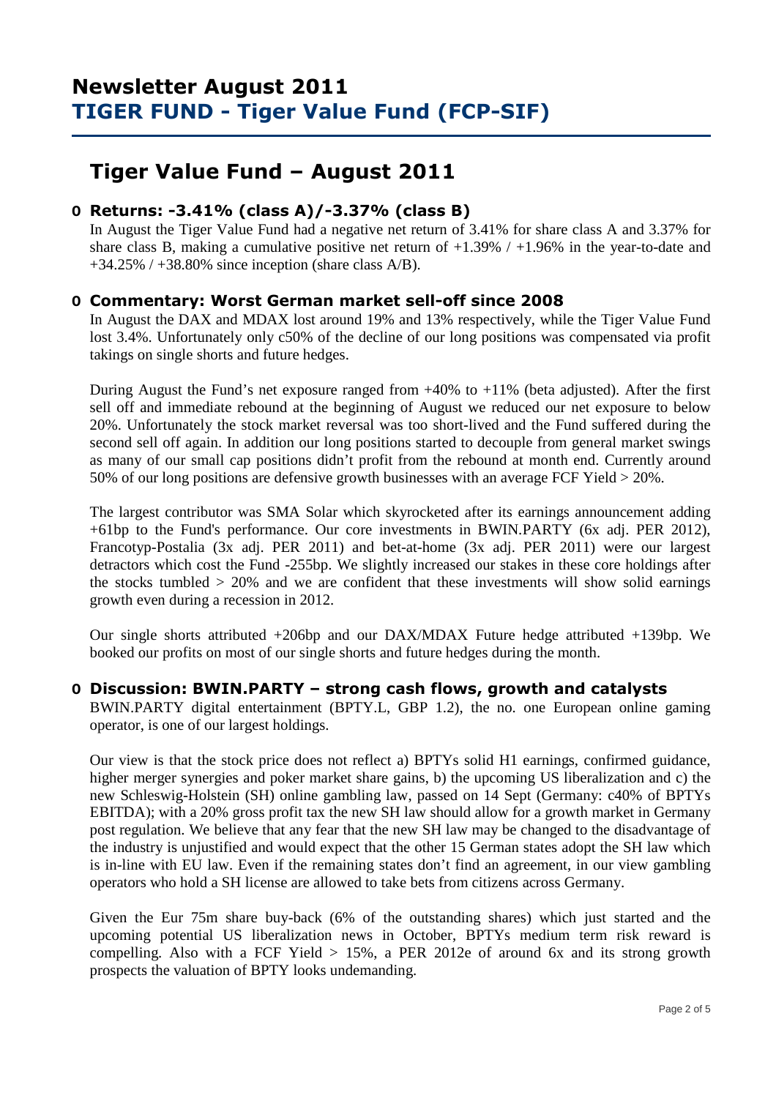# **Tiger Value Fund – August 2011**

## **O Returns: -3.41% (class A)/-3.37% (class B)**

 In August the Tiger Value Fund had a negative net return of 3.41% for share class A and 3.37% for share class B, making a cumulative positive net return of  $+1.39\%$  /  $+1.96\%$  in the year-to-date and  $+34.25\%$  /  $+38.80\%$  since inception (share class A/B).

## **O Commentary: Worst German market sell-off since 2008**

In August the DAX and MDAX lost around 19% and 13% respectively, while the Tiger Value Fund lost 3.4%. Unfortunately only c50% of the decline of our long positions was compensated via profit takings on single shorts and future hedges.

During August the Fund's net exposure ranged from  $+40\%$  to  $+11\%$  (beta adjusted). After the first sell off and immediate rebound at the beginning of August we reduced our net exposure to below 20%. Unfortunately the stock market reversal was too short-lived and the Fund suffered during the second sell off again. In addition our long positions started to decouple from general market swings as many of our small cap positions didn't profit from the rebound at month end. Currently around 50% of our long positions are defensive growth businesses with an average FCF Yield > 20%.

The largest contributor was SMA Solar which skyrocketed after its earnings announcement adding +61bp to the Fund's performance. Our core investments in BWIN.PARTY (6x adj. PER 2012), Francotyp-Postalia (3x adj. PER 2011) and bet-at-home (3x adj. PER 2011) were our largest detractors which cost the Fund -255bp. We slightly increased our stakes in these core holdings after the stocks tumbled  $> 20\%$  and we are confident that these investments will show solid earnings growth even during a recession in 2012.

Our single shorts attributed +206bp and our DAX/MDAX Future hedge attributed +139bp. We booked our profits on most of our single shorts and future hedges during the month.

### **O Discussion: BWIN.PARTY – strong cash flows, growth and catalysts**

BWIN.PARTY digital entertainment (BPTY.L, GBP 1.2), the no. one European online gaming operator, is one of our largest holdings.

Our view is that the stock price does not reflect a) BPTYs solid H1 earnings, confirmed guidance, higher merger synergies and poker market share gains, b) the upcoming US liberalization and c) the new Schleswig-Holstein (SH) online gambling law, passed on 14 Sept (Germany: c40% of BPTYs EBITDA); with a 20% gross profit tax the new SH law should allow for a growth market in Germany post regulation. We believe that any fear that the new SH law may be changed to the disadvantage of the industry is unjustified and would expect that the other 15 German states adopt the SH law which is in-line with EU law. Even if the remaining states don't find an agreement, in our view gambling operators who hold a SH license are allowed to take bets from citizens across Germany.

Given the Eur 75m share buy-back (6% of the outstanding shares) which just started and the upcoming potential US liberalization news in October, BPTYs medium term risk reward is compelling. Also with a FCF Yield  $> 15\%$ , a PER 2012e of around 6x and its strong growth prospects the valuation of BPTY looks undemanding.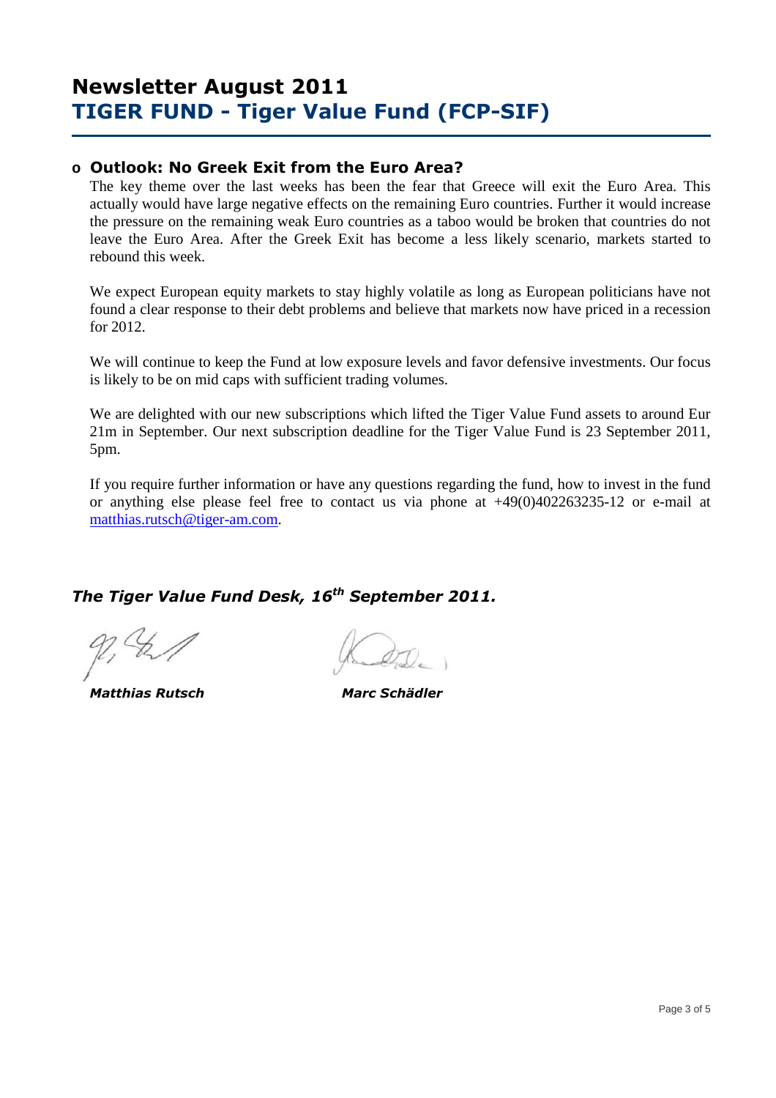## **o Outlook: No Greek Exit from the Euro Area?**

The key theme over the last weeks has been the fear that Greece will exit the Euro Area. This actually would have large negative effects on the remaining Euro countries. Further it would increase the pressure on the remaining weak Euro countries as a taboo would be broken that countries do not leave the Euro Area. After the Greek Exit has become a less likely scenario, markets started to rebound this week.

We expect European equity markets to stay highly volatile as long as European politicians have not found a clear response to their debt problems and believe that markets now have priced in a recession for 2012.

We will continue to keep the Fund at low exposure levels and favor defensive investments. Our focus is likely to be on mid caps with sufficient trading volumes.

We are delighted with our new subscriptions which lifted the Tiger Value Fund assets to around Eur 21m in September. Our next subscription deadline for the Tiger Value Fund is 23 September 2011, 5pm.

If you require further information or have any questions regarding the fund, how to invest in the fund or anything else please feel free to contact us via phone at +49(0)402263235-12 or e-mail at matthias.rutsch@tiger-am.com.

## *The Tiger Value Fund Desk, 16th September 2011.*

 *Matthias Rutsch Marc Schädler*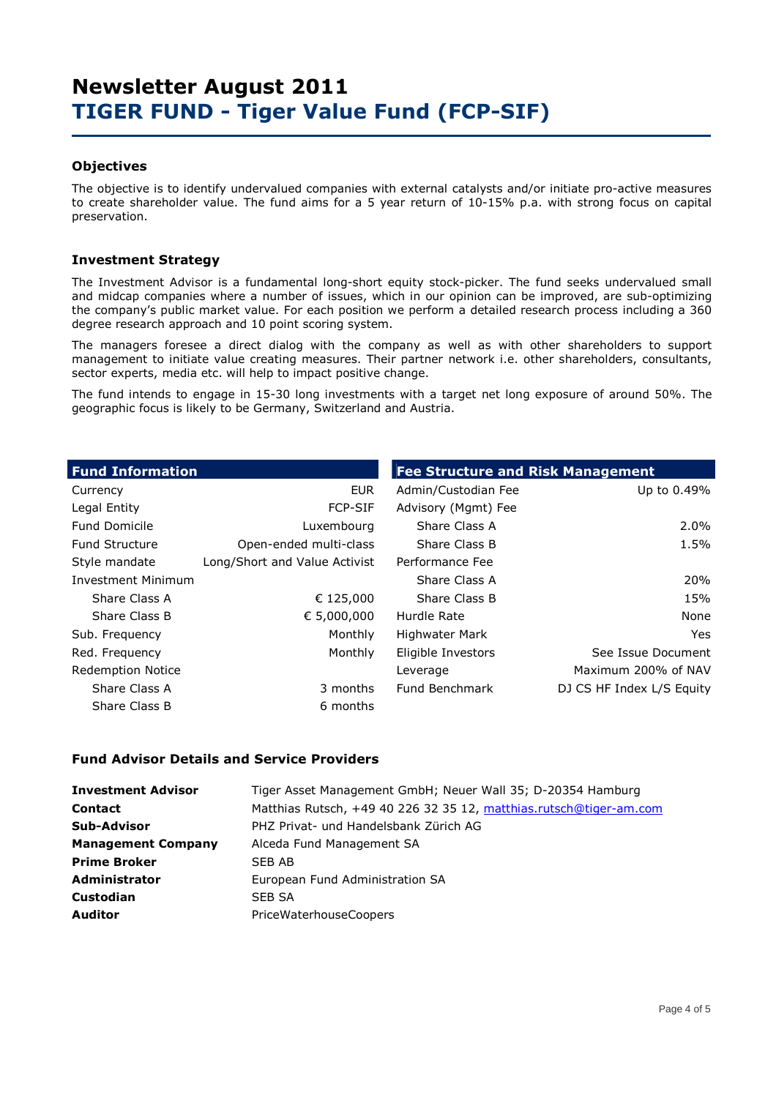### **Objectives**

The objective is to identify undervalued companies with external catalysts and/or initiate pro-active measures to create shareholder value. The fund aims for a 5 year return of 10-15% p.a. with strong focus on capital preservation.

### **Investment Strategy**

The Investment Advisor is a fundamental long-short equity stock-picker. The fund seeks undervalued small and midcap companies where a number of issues, which in our opinion can be improved, are sub-optimizing the company's public market value. For each position we perform a detailed research process including a 360 degree research approach and 10 point scoring system.

The managers foresee a direct dialog with the company as well as with other shareholders to support management to initiate value creating measures. Their partner network i.e. other shareholders, consultants, sector experts, media etc. will help to impact positive change.

The fund intends to engage in 15-30 long investments with a target net long exposure of around 50%. The geographic focus is likely to be Germany, Switzerland and Austria.

| <b>Fund Information</b>   |                               | <b>Fee Structure and Risk Management</b> |                           |
|---------------------------|-------------------------------|------------------------------------------|---------------------------|
| Currency                  | <b>EUR</b>                    | Admin/Custodian Fee                      | Up to 0.49%               |
| Legal Entity              | <b>FCP-SIF</b>                | Advisory (Mgmt) Fee                      |                           |
| <b>Fund Domicile</b>      | Luxembourg                    | Share Class A                            | 2.0%                      |
| <b>Fund Structure</b>     | Open-ended multi-class        | Share Class B                            | 1.5%                      |
| Style mandate             | Long/Short and Value Activist | Performance Fee                          |                           |
| <b>Investment Minimum</b> |                               | Share Class A                            | 20%                       |
| Share Class A             | € 125,000                     | Share Class B                            | 15%                       |
| Share Class B             | € 5,000,000                   | Hurdle Rate                              | None                      |
| Sub. Frequency            | Monthly                       | Highwater Mark                           | Yes.                      |
| Red. Frequency            | Monthly                       | Eligible Investors                       | See Issue Document        |
| <b>Redemption Notice</b>  |                               | Leverage                                 | Maximum 200% of NAV       |
| Share Class A             | 3 months                      | Fund Benchmark                           | DJ CS HF Index L/S Equity |
| Share Class B             | 6 months                      |                                          |                           |

#### **Fund Advisor Details and Service Providers**

| <b>Investment Advisor</b> | Tiger Asset Management GmbH; Neuer Wall 35; D-20354 Hamburg        |
|---------------------------|--------------------------------------------------------------------|
| <b>Contact</b>            | Matthias Rutsch, +49 40 226 32 35 12, matthias.rutsch@tiger-am.com |
| <b>Sub-Advisor</b>        | PHZ Privat- und Handelsbank Zürich AG                              |
| <b>Management Company</b> | Alceda Fund Management SA                                          |
| <b>Prime Broker</b>       | SEB AB                                                             |
| <b>Administrator</b>      | European Fund Administration SA                                    |
| <b>Custodian</b>          | SEB SA                                                             |
| <b>Auditor</b>            | <b>PriceWaterhouseCoopers</b>                                      |